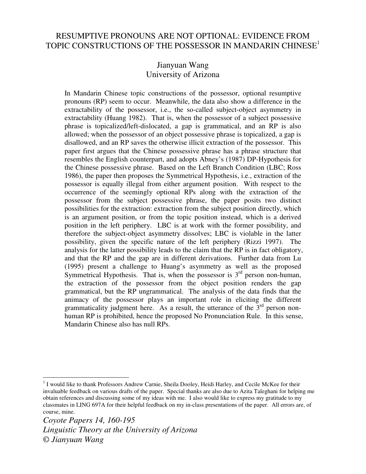# RESUMPTIVE PRONOUNS ARE NOT OPTIONAL: EVIDENCE FROM TOPIC CONSTRUCTIONS OF THE POSSESSOR IN MANDARIN CHINESE $^{\rm 1}$

#### Jianyuan Wang University of Arizona

In Mandarin Chinese topic constructions of the possessor, optional resumptive pronouns (RP) seem to occur. Meanwhile, the data also show a difference in the extractability of the possessor, i.e., the so-called subject-object asymmetry in extractability (Huang 1982). That is, when the possessor of a subject possessive phrase is topicalized/left-dislocated, a gap is grammatical, and an RP is also allowed; when the possessor of an object possessive phrase is topicalized, a gap is disallowed, and an RP saves the otherwise illicit extraction of the possessor. This paper first argues that the Chinese possessive phrase has a phrase structure that resembles the English counterpart, and adopts Abney's (1987) DP-Hypothesis for the Chinese possessive phrase. Based on the Left Branch Condition (LBC; Ross 1986), the paper then proposes the Symmetrical Hypothesis, i.e., extraction of the possessor is equally illegal from either argument position. With respect to the occurrence of the seemingly optional RPs along with the extraction of the possessor from the subject possessive phrase, the paper posits two distinct possibilities for the extraction: extraction from the subject position directly, which is an argument position, or from the topic position instead, which is a derived position in the left periphery. LBC is at work with the former possibility, and therefore the subject-object asymmetry dissolves; LBC is violable in the latter possibility, given the specific nature of the left periphery (Rizzi 1997). The analysis for the latter possibility leads to the claim that the RP is in fact obligatory, and that the RP and the gap are in different derivations. Further data from Lu (1995) present a challenge to Huang's asymmetry as well as the proposed Symmetrical Hypothesis. That is, when the possessor is  $3<sup>rd</sup>$  person non-human, the extraction of the possessor from the object position renders the gap grammatical, but the RP ungrammatical. The analysis of the data finds that the animacy of the possessor plays an important role in eliciting the different grammaticality judgment here. As a result, the utterance of the  $3<sup>rd</sup>$  person nonhuman RP is prohibited, hence the proposed No Pronunciation Rule. In this sense, Mandarin Chinese also has null RPs.

<sup>&</sup>lt;sup>1</sup> I would like to thank Professors Andrew Carnie, Sheila Dooley, Heidi Harley, and Cecile McKee for their invaluable feedback on various drafts of the paper. Special thanks are also due to Azita Taleghani for helping me obtain references and discussing some of my ideas with me. I also would like to express my gratitude to my classmates in LING 697A for their helpful feedback on my in-class presentations of the paper. All errors are, of course, mine.

*Coyote Papers 14, 160-195 Linguistic Theory at the University of Arizona © Jianyuan Wang*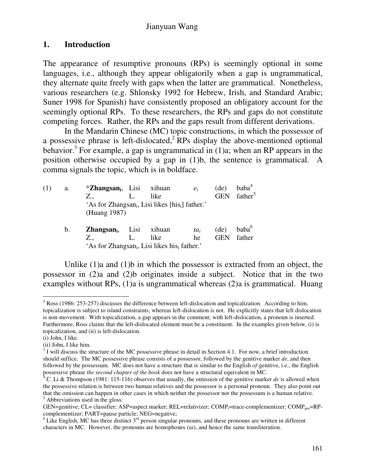# **1. Introduction**

The appearance of resumptive pronouns (RPs) is seemingly optional in some languages, i.e., although they appear obligatorily when a gap is ungrammatical, they alternate quite freely with gaps when the latter are grammatical. Nonetheless, various researchers (e.g. Shlonsky 1992 for Hebrew, Irish, and Standard Arabic; Suner 1998 for Spanish) have consistently proposed an obligatory account for the seemingly optional RPs. To these researchers, the RPs and gaps do not constitute competing forces. Rather, the RPs and the gaps result from different derivations.

In the Mandarin Chinese (MC) topic constructions, in which the possessor of a possessive phrase is left-dislocated,<sup>2</sup> RPs display the above-mentioned optional behavior.<sup>3</sup> For example, a gap is ungrammatical in  $(1)a$ ; when an RP appears in the position otherwise occupied by a gap in (1)b, the sentence is grammatical. A comma signals the topic, which is in boldface.

| (1) | a. | <i>*Zhangsan<sub>i</sub></i> , Lisi xihuan                              |      | $e_i$  | (de)       | baba <sup>4</sup>   |
|-----|----|-------------------------------------------------------------------------|------|--------|------------|---------------------|
|     |    | Z.,                                                                     | like |        | <b>GEN</b> | father <sup>5</sup> |
|     |    | 'As for Zhangsan <sub>i</sub> , Lisi likes [his <sub>i</sub> ] father.' |      |        |            |                     |
|     |    | (Huang 1987)                                                            |      |        |            |                     |
|     |    |                                                                         |      |        |            |                     |
|     | b. | <b>Zhangsan</b> <sub>i</sub> , Lisi xihuan                              |      | $ta_i$ | (de)       | baba <sup>6</sup>   |
|     |    | Z.,                                                                     | like | he     | <b>GEN</b> | father              |
|     |    | 'As for Zhangsan <sub>i</sub> , Lisi likes his <sub>i</sub> father.'    |      |        |            |                     |

Unlike (1)a and (1)b in which the possessor is extracted from an object, the possessor in (2)a and (2)b originates inside a subject. Notice that in the two examples without RPs, (1)a is ungrammatical whereas (2)a is grammatical. Huang

 $2$  Ross (1986: 253-257) discusses the difference between left-dislocation and topicalization. According to him, topicalization is subject to island constraints, whereas left-dislocation is not. He explicitly states that left dislocation is non-movement. With topicalization, a gap appears in the comment; with left-dislocation, a pronoun is inserted. Furthermore, Ross claims that the left-dislocated element must be a constituent. In the examples given below, (i) is topicalization, and (ii) is left-dislocation.

<sup>(</sup>i) John, I like.

<sup>(</sup>ii) John, I like him.

 $3$  I will discuss the structure of the MC possessive phrase in detail in Section 4.1. For now, a brief introduction should suffice. The MC possessive phrase consists of a possessor, followed by the genitive marker *de*, and then followed by the possessum. MC does not have a structure that is similar to the English *of*-genitive, i.e., the English possessive phrase *the second chapter of the book* does not have a structural equivalent in MC.

<sup>4</sup> C. Li & Thompson (1981: 115-116) observes that usually, the omission of the genitive marker *de* is allowed when the possessive relation is between two human relatives and the possessor is a personal pronoun. They also point out that the omission can happen in other cases in which neither the possessor nor the possessum is a human relative.  $<sup>5</sup>$  Abbreviations used in the gloss:</sup>

GEN=genitive; CL= classifier; ASP=aspect marker; REL=relativizer; COMP<sub>t</sub>=trace-complementizer; COMP<sub>pro</sub>=RPcomplementizer; PART=pause particle; NEG=negative;

 $6$  Like English, MC has three distinct  $3<sup>rd</sup>$  person singular pronouns, and these pronouns are written in different characters in MC. However, the pronouns are homophones (*ta*), and hence the same transliteration.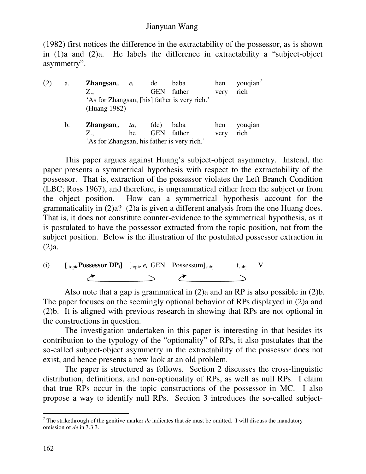(1982) first notices the difference in the extractability of the possessor, as is shown in (1)a and (2)a. He labels the difference in extractability a "subject-object asymmetry".

| (2) | a. | Zhangsan <sub>i</sub> ,                     | $e_i$  | de         | baba                                          | hen  | youqian <sup>7</sup> |
|-----|----|---------------------------------------------|--------|------------|-----------------------------------------------|------|----------------------|
|     |    | Z.,                                         |        | <b>GEN</b> | father                                        | very | rich                 |
|     |    |                                             |        |            | 'As for Zhangsan, [his] father is very rich.' |      |                      |
|     |    | (Huang 1982)                                |        |            |                                               |      |                      |
|     | b. | $Z$ hangsan <sub>i</sub> ,                  | $ta_i$ | (de)       | baba                                          | hen  | youqian              |
|     |    | Z.,                                         | he     | <b>GEN</b> | father                                        | very | rich                 |
|     |    | 'As for Zhangsan, his father is very rich.' |        |            |                                               |      |                      |

This paper argues against Huang's subject-object asymmetry. Instead, the paper presents a symmetrical hypothesis with respect to the extractability of the possessor. That is, extraction of the possessor violates the Left Branch Condition (LBC; Ross 1967), and therefore, is ungrammatical either from the subject or from the object position. How can a symmetrical hypothesis account for the grammaticality in (2)a? (2)a is given a different analysis from the one Huang does. That is, it does not constitute counter-evidence to the symmetrical hypothesis, as it is postulated to have the possessor extracted from the topic position, not from the subject position. Below is the illustration of the postulated possessor extraction in (2)a.

(i) 
$$
[_{\text{topic}}\text{Possessor DP}_i]
$$
  $[_{\text{topic}}\,e_i\,\text{GEN}\,Possessum]_{\text{subj.}}\,V$ 

Also note that a gap is grammatical in (2)a and an RP is also possible in (2)b. The paper focuses on the seemingly optional behavior of RPs displayed in (2)a and (2)b. It is aligned with previous research in showing that RPs are not optional in the constructions in question.

The investigation undertaken in this paper is interesting in that besides its contribution to the typology of the "optionality" of RPs, it also postulates that the so-called subject-object asymmetry in the extractability of the possessor does not exist, and hence presents a new look at an old problem.

The paper is structured as follows. Section 2 discusses the cross-linguistic distribution, definitions, and non-optionality of RPs, as well as null RPs. I claim that true RPs occur in the topic constructions of the possessor in MC. I also propose a way to identify null RPs. Section 3 introduces the so-called subject-

<sup>7</sup> The strikethrough of the genitive marker *de* indicates that *de* must be omitted. I will discuss the mandatory omission of *de* in 3.3.3.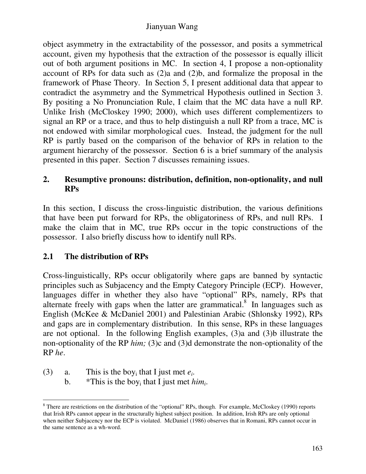object asymmetry in the extractability of the possessor, and posits a symmetrical account, given my hypothesis that the extraction of the possessor is equally illicit out of both argument positions in MC. In section 4, I propose a non-optionality account of RPs for data such as (2)a and (2)b, and formalize the proposal in the framework of Phase Theory. In Section 5, I present additional data that appear to contradict the asymmetry and the Symmetrical Hypothesis outlined in Section 3. By positing a No Pronunciation Rule, I claim that the MC data have a null RP. Unlike Irish (McCloskey 1990; 2000), which uses different complementizers to signal an RP or a trace, and thus to help distinguish a null RP from a trace, MC is not endowed with similar morphological cues. Instead, the judgment for the null RP is partly based on the comparison of the behavior of RPs in relation to the argument hierarchy of the possessor. Section 6 is a brief summary of the analysis presented in this paper. Section 7 discusses remaining issues.

# **2. Resumptive pronouns: distribution, definition, non-optionality, and null RPs**

In this section, I discuss the cross-linguistic distribution, the various definitions that have been put forward for RPs, the obligatoriness of RPs, and null RPs. I make the claim that in MC, true RPs occur in the topic constructions of the possessor. I also briefly discuss how to identify null RPs.

# **2.1 The distribution of RPs**

Cross-linguistically, RPs occur obligatorily where gaps are banned by syntactic principles such as Subjacency and the Empty Category Principle (ECP). However, languages differ in whether they also have "optional" RPs, namely, RPs that alternate freely with gaps when the latter are grammatical. 8 In languages such as English (McKee & McDaniel 2001) and Palestinian Arabic (Shlonsky 1992), RPs and gaps are in complementary distribution. In this sense, RPs in these languages are not optional. In the following English examples, (3)a and (3)b illustrate the non-optionality of the RP *him*; (3)c and (3)d demonstrate the non-optionality of the RP *he*.

- (3) a. This is the boy<sub>i</sub> that I just met  $e_i$ .
	- b.  $*$ This is the boy<sub>i</sub> that I just met *him*<sup>*i*</sup>.

<sup>&</sup>lt;sup>8</sup> There are restrictions on the distribution of the "optional" RPs, though. For example, McCloskey (1990) reports that Irish RPs cannot appear in the structurally highest subject position. In addition, Irish RPs are only optional when neither Subjacency nor the ECP is violated. McDaniel (1986) observes that in Romani, RPs cannot occur in the same sentence as a wh-word.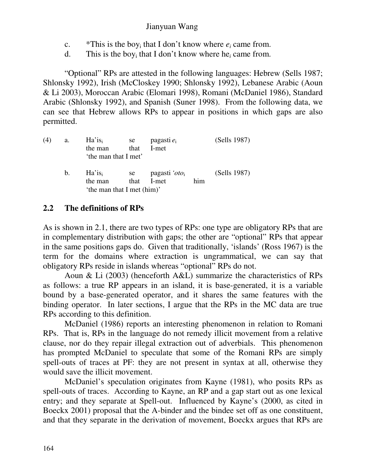- c.  $*$ This is the boy<sub>i</sub> that I don't know where  $e_i$  came from.
- d. This is the boy<sub>i</sub> that I don't know where he<sub>i</sub> came from.

"Optional" RPs are attested in the following languages: Hebrew (Sells 1987; Shlonsky 1992), Irish (McCloskey 1990; Shlonsky 1992), Lebanese Arabic (Aoun & Li 2003), Moroccan Arabic (Elomari 1998), Romani (McDaniel 1986), Standard Arabic (Shlonsky 1992), and Spanish (Suner 1998). From the following data, we can see that Hebrew allows RPs to appear in positions in which gaps are also permitted.

| (4) | a. | $Ha'is_i$<br>the man<br>'the man that I met'       | se<br>that | pagasti $e_i$<br>I-met             |     | (Sells 1987) |
|-----|----|----------------------------------------------------|------------|------------------------------------|-----|--------------|
|     | b. | $Ha'is_i$<br>the man<br>'the man that I met (him)' | se<br>that | pagasti 'oto <sub>i</sub><br>I-met | him | (Sells 1987) |

# **2.2 The definitions of RPs**

As is shown in 2.1, there are two types of RPs: one type are obligatory RPs that are in complementary distribution with gaps; the other are "optional" RPs that appear in the same positions gaps do. Given that traditionally, 'islands' (Ross 1967) is the term for the domains where extraction is ungrammatical, we can say that obligatory RPs reside in islands whereas "optional" RPs do not.

Aoun & Li (2003) (henceforth A&L) summarize the characteristics of RPs as follows: a true RP appears in an island, it is base-generated, it is a variable bound by a base-generated operator, and it shares the same features with the binding operator. In later sections, I argue that the RPs in the MC data are true RPs according to this definition.

McDaniel (1986) reports an interesting phenomenon in relation to Romani RPs. That is, RPs in the language do not remedy illicit movement from a relative clause, nor do they repair illegal extraction out of adverbials. This phenomenon has prompted McDaniel to speculate that some of the Romani RPs are simply spell-outs of traces at PF: they are not present in syntax at all, otherwise they would save the illicit movement.

McDaniel's speculation originates from Kayne (1981), who posits RPs as spell-outs of traces. According to Kayne, an RP and a gap start out as one lexical entry; and they separate at Spell-out. Influenced by Kayne's (2000, as cited in Boeckx 2001) proposal that the A-binder and the bindee set off as one constituent, and that they separate in the derivation of movement, Boeckx argues that RPs are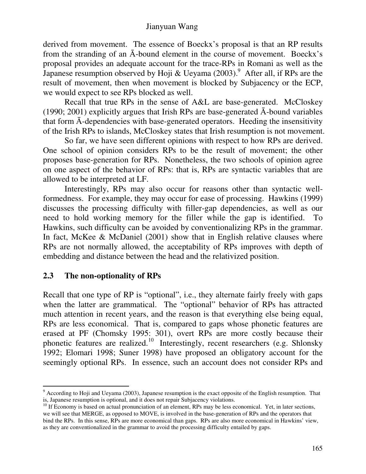derived from movement. The essence of Boeckx's proposal is that an RP results from the stranding of an  $\bar{A}$ -bound element in the course of movement. Boeckx's proposal provides an adequate account for the trace-RPs in Romani as well as the Japanese resumption observed by Hoji & Ueyama (2003).<sup>9</sup> After all, if RPs are the result of movement, then when movement is blocked by Subjacency or the ECP, we would expect to see RPs blocked as well.

Recall that true RPs in the sense of A&L are base-generated. McCloskey (1990; 2001) explicitly argues that Irish RPs are base-generated  $\bar{A}$ -bound variables that form  $\bar{A}$ -dependencies with base-generated operators. Heeding the insensitivity of the Irish RPs to islands, McCloskey states that Irish resumption is not movement.

So far, we have seen different opinions with respect to how RPs are derived. One school of opinion considers RPs to be the result of movement; the other proposes base-generation for RPs. Nonetheless, the two schools of opinion agree on one aspect of the behavior of RPs: that is, RPs are syntactic variables that are allowed to be interpreted at LF.

Interestingly, RPs may also occur for reasons other than syntactic wellformedness. For example, they may occur for ease of processing. Hawkins (1999) discusses the processing difficulty with filler-gap dependencies, as well as our need to hold working memory for the filler while the gap is identified. To Hawkins, such difficulty can be avoided by conventionalizing RPs in the grammar. In fact, McKee & McDaniel (2001) show that in English relative clauses where RPs are not normally allowed, the acceptability of RPs improves with depth of embedding and distance between the head and the relativized position.

# **2.3 The non-optionality of RPs**

Recall that one type of RP is "optional", i.e., they alternate fairly freely with gaps when the latter are grammatical. The "optional" behavior of RPs has attracted much attention in recent years, and the reason is that everything else being equal, RPs are less economical. That is, compared to gaps whose phonetic features are erased at PF (Chomsky 1995: 301), overt RPs are more costly because their phonetic features are realized.<sup>10</sup> Interestingly, recent researchers (e.g. Shlonsky 1992; Elomari 1998; Suner 1998) have proposed an obligatory account for the seemingly optional RPs. In essence, such an account does not consider RPs and

 $9$  According to Hoji and Ueyama (2003), Japanese resumption is the exact opposite of the English resumption. That is, Japanese resumption is optional, and it does not repair Subjacency violations.

<sup>&</sup>lt;sup>10</sup> If Economy is based on actual pronunciation of an element, RPs may be less economical. Yet, in later sections, we will see that MERGE, as opposed to MOVE, is involved in the base-generation of RPs and the operators that bind the RPs. In this sense, RPs are more economical than gaps. RPs are also more economical in Hawkins' view, as they are conventionalized in the grammar to avoid the processing difficulty entailed by gaps.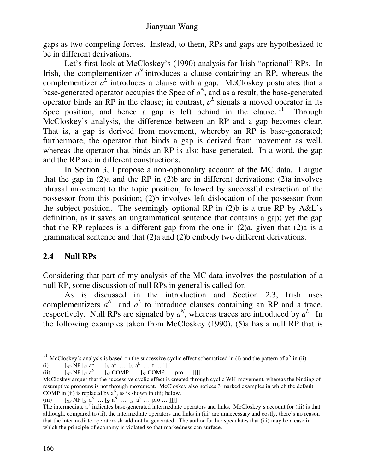gaps as two competing forces. Instead, to them, RPs and gaps are hypothesized to be in different derivations.

Let's first look at McCloskey's (1990) analysis for Irish "optional" RPs. In Irish, the complementizer  $a^N$  introduces a clause containing an RP, whereas the complementizer  $a^L$  introduces a clause with a gap. McCloskey postulates that a base-generated operator occupies the Spec of  $a^N$ , and as a result, the base-generated operator binds an RP in the clause; in contrast,  $a<sup>L</sup>$  signals a moved operator in its Spec position, and hence a gap is left behind in the clause.  $^{11}$ Through McCloskey's analysis, the difference between an RP and a gap becomes clear. That is, a gap is derived from movement, whereby an RP is base-generated; furthermore, the operator that binds a gap is derived from movement as well, whereas the operator that binds an RP is also base-generated. In a word, the gap and the RP are in different constructions.

In Section 3, I propose a non-optionality account of the MC data. I argue that the gap in  $(2)a$  and the RP in  $(2)b$  are in different derivations:  $(2)a$  involves phrasal movement to the topic position, followed by successful extraction of the possessor from this position; (2)b involves left-dislocation of the possessor from the subject position. The seemingly optional RP in  $(2)$ b is a true RP by A&L's definition, as it saves an ungrammatical sentence that contains a gap; yet the gap that the RP replaces is a different gap from the one in  $(2)a$ , given that  $(2)a$  is a grammatical sentence and that (2)a and (2)b embody two different derivations.

# **2.4 Null RPs**

Considering that part of my analysis of the MC data involves the postulation of a null RP, some discussion of null RPs in general is called for.

As is discussed in the introduction and Section 2.3, Irish uses complementizers  $a^N$  and  $a^L$  to introduce clauses containing an RP and a trace, respectively. Null RPs are signaled by  $a^N$ , whereas traces are introduced by  $a^L$ . In the following examples taken from McCloskey (1990), (5)a has a null RP that is

<sup>&</sup>lt;sup>11</sup> McCloskey's analysis is based on the successive cyclic effect schematized in (i) and the pattern of  $a^N$  in (ii).

<sup>(</sup>i)  $[\text{NP NP } [S \text{ a}^L \dots [S \text{ a}^L \dots [S \text{ a}^L \dots [S \text{ a}^L \dots [S \text{ a}^L \dots [S \text{ a}^L \dots [S \text{ a}^L \dots [S \text{ a}^L \dots [S \text{ a}^L \dots [S \text{ a}^L \dots [S \text{ a}^L \dots [S \text{ a}^L \dots [S \text{ a}^L \dots [S \text{ a}^L \dots [S \text{ a}^L \dots [S \text{ a}^L \dots [S \text{ a}^L \dots [S \text{ a}^L \dots [S \text{ a}^L \dots [$ 

<sup>(</sup>ii)  $\qquad [NP \ S' \ a^N \ ... \ S' \ COMP \ ... \ S' \ COMP \ ... \ P' \$ 

McCloskey argues that the successive cyclic effect is created through cyclic WH-movement, whereas the binding of resumptive pronouns is not through movement. McCloskey also notices 3 marked examples in which the default COMP in (ii) is replaced by  $a^N$ , as is shown in (iii) below.

<sup>(</sup>iii)  $[\text{NP NP } [s, a^N ... [s, a^N ... [s, a^N ... [s, a^N ... ]]]]$ 

The intermediate a<sup>N</sup> indicates base-generated intermediate operators and links. McCloskey's account for (iii) is that although, compared to (ii), the intermediate operators and links in (iii) are unnecessary and costly, there's no reason that the intermediate operators should not be generated. The author further speculates that (iii) may be a case in which the principle of economy is violated so that markedness can surface.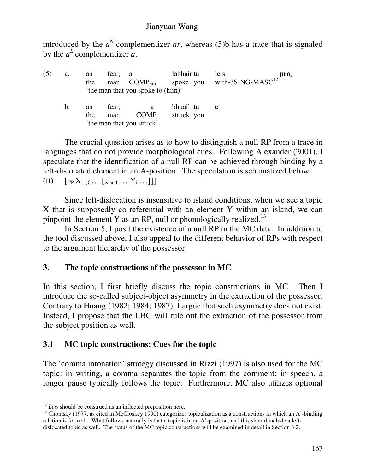introduced by the  $a^N$  complementizer  $ar$ , whereas (5)b has a trace that is signaled by the  $a^L$  complementizer  $a$ .

| a. | an<br>the | tear <sub>i</sub> ar<br>man | COMP <sub>pro</sub><br>'the man that you spoke to (him)' | labhair tu<br>spoke you | leis<br>with-3SING-MASC $^{12}$ | $\bf{pro}_i$ |
|----|-----------|-----------------------------|----------------------------------------------------------|-------------------------|---------------------------------|--------------|
| b. | an<br>the | fear.<br>man                | a<br>$COMP_{t}$<br>'the man that you struck'             | bhuail tu<br>struck you | $e_i$                           |              |

The crucial question arises as to how to distinguish a null RP from a trace in languages that do not provide morphological cues. Following Alexander (2001), I speculate that the identification of a null RP can be achieved through binding by a left-dislocated element in an  $\bar{A}$ -position. The speculation is schematized below. (ii)  $\left[\begin{matrix}C\mathbf{P} & X_i \end{matrix}\right] \left[\begin{matrix}C \cdots & S_{i} \end{matrix}\right]$  [sland  $\cdots$  Y<sub>i</sub>  $\cdots$ ]]

Since left-dislocation is insensitive to island conditions, when we see a topic X that is supposedly co-referential with an element Y within an island, we can pinpoint the element Y as an RP, null or phonologically realized.<sup>13</sup>

In Section 5, I posit the existence of a null RP in the MC data. In addition to the tool discussed above, I also appeal to the different behavior of RPs with respect to the argument hierarchy of the possessor.

# **3. The topic constructions of the possessor in MC**

In this section, I first briefly discuss the topic constructions in MC. Then I introduce the so-called subject-object asymmetry in the extraction of the possessor. Contrary to Huang (1982; 1984; 1987), I argue that such asymmetry does not exist. Instead, I propose that the LBC will rule out the extraction of the possessor from the subject position as well.

# **3.1 MC topic constructions: Cues for the topic**

The 'comma intonation' strategy discussed in Rizzi (1997) is also used for the MC topic: in writing, a comma separates the topic from the comment; in speech, a longer pause typically follows the topic. Furthermore, MC also utilizes optional

<sup>&</sup>lt;sup>12</sup> Leis should be construed as an inflected preposition here.

<sup>&</sup>lt;sup>13</sup> Chomsky (1977, as cited in McCloskey 1990) categorizes topicalization as a constructions in which an A'-binding relation is formed. What follows naturally is that a topic is in an A'-position, and this should include a leftdislocated topic as well. The status of the MC topic constructions will be examined in detail in Section 3.2.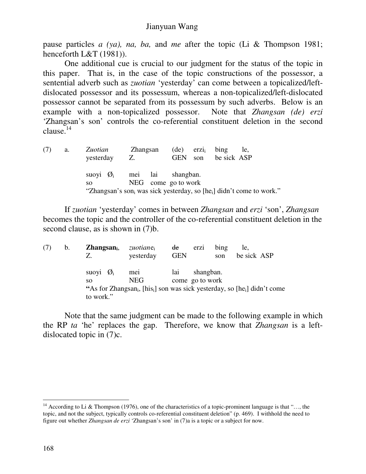pause particles *a (ya), na, ba,* and *me* after the topic (Li & Thompson 1981; henceforth L&T (1981)).

One additional cue is crucial to our judgment for the status of the topic in this paper. That is, in the case of the topic constructions of the possessor, a sentential adverb such as *zuotian* 'yesterday' can come between a topicalized/leftdislocated possessor and its possessum, whereas a non-topicalized/left-dislocated possessor cannot be separated from its possessum by such adverbs. Below is an example with a non-topicalized possessor. Note that *Zhangsan (de) erzi* 'Zhangsan's son' controls the co-referential constituent deletion in the second clause. 14

(7) a. *Zuotian* Zhangsan (de) erzi<sup>i</sup> bing le, yesterday Z. GEN son be sick ASP suoyi  $\varnothing$ <sub>i</sub> mei lai shangban. so NEG come go to work "Zhangsan's son<sub>i</sub> was sick yesterday, so  $[he_i]$  didn't come to work."

If *zuotian* 'yesterday' comes in between *Zhangsan* and *erzi* 'son', *Zhangsan* becomes the topic and the controller of the co-referential constituent deletion in the second clause, as is shown in (7)b.

| b. | $Z$ hangsan <sub>i</sub> ,<br>Z.          | <i>zuotiane</i><br>yesterday  | de<br><b>GEN</b> | bing<br>erz <sub>1</sub><br>son | le.<br>be sick ASP                                                                                            |
|----|-------------------------------------------|-------------------------------|------------------|---------------------------------|---------------------------------------------------------------------------------------------------------------|
|    | suovi $\varnothing_i$<br>SO.<br>to work." | me <sub>1</sub><br><b>NEG</b> | lai              | shangban.<br>come go to work    | "As for Zhangsan <sub>i</sub> , [his <sub>i</sub> ] son was sick yesterday, so [he <sub>i</sub> ] didn't come |

Note that the same judgment can be made to the following example in which the RP *ta* 'he' replaces the gap. Therefore, we know that *Zhangsan* is a leftdislocated topic in (7)c.

<sup>&</sup>lt;sup>14</sup> According to Li & Thompson (1976), one of the characteristics of a topic-prominent language is that "..., the topic, and not the subject, typically controls co-referential constituent deletion" (p. 469). I withhold the need to figure out whether *Zhangsan de erzi* 'Zhangsan's son' in (7)a is a topic or a subject for now.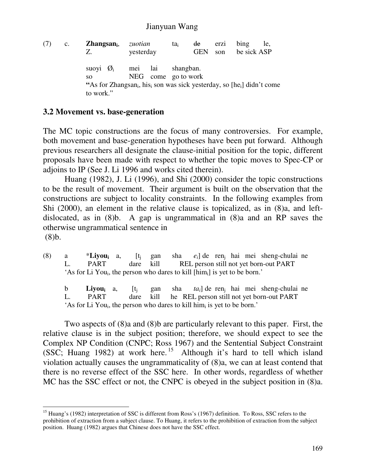| (7) | $\mathbf{c}$ . | Zhangsan <sub>i</sub><br>Z.            | zuotian<br>yesterday |  | ta:                              | de<br><b>GEN</b> | erzi<br>son | bing<br>be sick ASP                                                                           | le. |
|-----|----------------|----------------------------------------|----------------------|--|----------------------------------|------------------|-------------|-----------------------------------------------------------------------------------------------|-----|
|     |                | suovi $\varnothing_i$<br><sub>SO</sub> | mei lai              |  | shangban.<br>NEG come go to work |                  |             |                                                                                               |     |
|     |                | to work."                              |                      |  |                                  |                  |             | "As for Zhangsan <sub>i</sub> , his son was sick yesterday, so [he <sub>i</sub> ] didn't come |     |

#### **3.2 Movement vs. base-generation**

The MC topic constructions are the focus of many controversies. For example, both movement and base-generation hypotheses have been put forward. Although previous researchers all designate the clause-initial position for the topic, different proposals have been made with respect to whether the topic moves to Spec-CP or adjoins to IP (See J. Li 1996 and works cited therein).

Huang (1982), J. Li (1996), and Shi (2000) consider the topic constructions to be the result of movement. Their argument is built on the observation that the constructions are subject to locality constraints. In the following examples from Shi (2000), an element in the relative clause is topicalized, as in (8)a, and leftdislocated, as in (8)b. A gap is ungrammatical in (8)a and an RP saves the otherwise ungrammatical sentence in

(8)b.

(8) a \***Liyou<sup>i</sup>** a, [t<sup>j</sup> gan sha *ei*] de ren<sup>j</sup> hai mei sheng-chulai ne L. PART dare kill REL person still not yet born-out PART 'As for Li You<sub>i</sub>, the person who dares to kill [him<sub>i</sub>] is yet to be born.'

b **Liyou**<sub>i</sub> a, [t<sub>j</sub> gan sha *ta*<sub>*i*</sub>] de ren<sub>j</sub> hai mei sheng-chulai ne L. PART dare kill he REL person still not yet born-out PART he REL person still not yet born-out PART 'As for Li You<sub>i</sub>, the person who dares to kill him<sub>i</sub> is yet to be born.'

Two aspects of (8)a and (8)b are particularly relevant to this paper. First, the relative clause is in the subject position; therefore, we should expect to see the Complex NP Condition (CNPC; Ross 1967) and the Sentential Subject Constraint (SSC; Huang 1982) at work here.<sup>15</sup> Although it's hard to tell which island violation actually causes the ungrammaticality of (8)a, we can at least contend that there is no reverse effect of the SSC here. In other words, regardless of whether MC has the SSC effect or not, the CNPC is obeyed in the subject position in (8)a.

<sup>&</sup>lt;sup>15</sup> Huang's (1982) interpretation of SSC is different from Ross's (1967) definition. To Ross, SSC refers to the prohibition of extraction from a subject clause. To Huang, it refers to the prohibition of extraction from the subject position. Huang (1982) argues that Chinese does not have the SSC effect.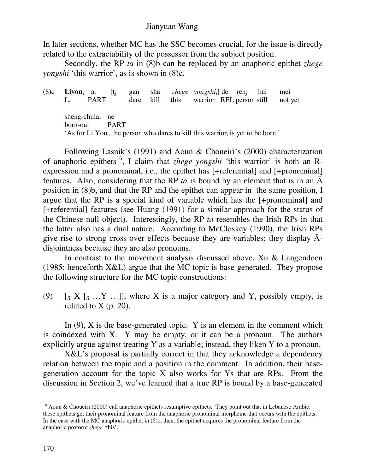In later sections, whether MC has the SSC becomes crucial, for the issue is directly related to the extractability of the possessor from the subject position.

Secondly, the RP *ta* in (8)b can be replaced by an anaphoric epithet *zhege yongshi* 'this warrior', as is shown in (8)c.

(8)c **Liyou<sup>i</sup>** a, [t<sup>j</sup> gan sha *zhege yongshii*] de ren<sup>j</sup> hai mei L. PART dare kill this warrior REL person still not yet sheng-chulai ne born-out PART 'As for Li You<sub>i</sub>, the person who dares to kill this warrior $_i$  is yet to be born.'

Following Lasnik's (1991) and Aoun & Choueiri's (2000) characterization of anaphoric epithets 16 , I claim that *zhege yongshi* 'this warrior' is both an Rexpression and a pronominal, i.e., the epithet has [+referential] and [+pronominal] features. Also, considering that the RP  $ta$  is bound by an element that is in an  $\overline{A}$ position in (8)b, and that the RP and the epithet can appear in the same position, I argue that the RP is a special kind of variable which has the [+pronominal] and [+referential] features (see Huang (1991) for a similar approach for the status of the Chinese null object). Interestingly, the RP *ta* resembles the Irish RPs in that the latter also has a dual nature. According to McCloskey (1990), the Irish RPs give rise to strong cross-over effects because they are variables; they display  $\bar{A}$ disjointness because they are also pronouns.

In contrast to the movement analysis discussed above,  $Xu \& Langendoen$ (1985; henceforth X&L) argue that the MC topic is base-generated. They propose the following structure for the MC topic constructions:

(9)  $[s \ X [s \ ... Y \ ...]]$ , where X is a major category and Y, possibly empty, is related to  $X$  (p. 20).

In  $(9)$ , X is the base-generated topic. Y is an element in the comment which is coindexed with X. Y may be empty, or it can be a pronoun. The authors explicitly argue against treating Y as a variable; instead, they liken Y to a pronoun.

X&L's proposal is partially correct in that they acknowledge a dependency relation between the topic and a position in the comment. In addition, their basegeneration account for the topic X also works for Ys that are RPs. From the discussion in Section 2, we've learned that a true RP is bound by a base-generated

<sup>&</sup>lt;sup>16</sup> Aoun & Choueiri (2000) call anaphoric epithets resumptive epithets. They point out that in Lebanese Arabic, these epithets get their pronominal feature from the anaphoric pronominal morpheme that occurs with the epithets. In the case with the MC anaphoric epithet in (8)c, then, the epithet acquires the pronominal feature from the anaphoric proform *zhege* 'this'.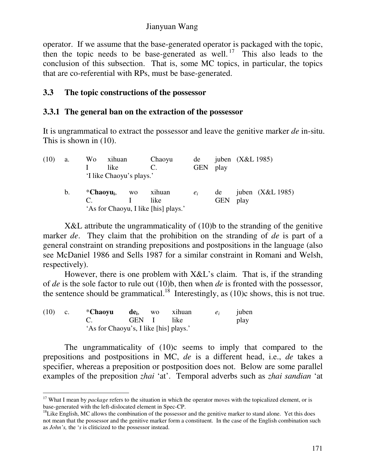operator. If we assume that the base-generated operator is packaged with the topic, then the topic needs to be base-generated as well.<sup>17</sup> This also leads to the conclusion of this subsection. That is, some MC topics, in particular, the topics that are co-referential with RPs, must be base-generated.

## **3.3 The topic constructions of the possessor**

## **3.3.1 The general ban on the extraction of the possessor**

It is ungrammatical to extract the possessor and leave the genitive marker *de* in-situ. This is shown in (10).

| (10) | a.            | Wo<br>xihuan<br>like     |           | Chaoyu                               | de<br><b>GEN</b> | play       | juben $(X&L 1985)$ |                    |
|------|---------------|--------------------------|-----------|--------------------------------------|------------------|------------|--------------------|--------------------|
|      |               | 'I like Chaoyu's plays.' |           |                                      |                  |            |                    |                    |
|      | $\mathbf b$ . | *Chaoyu <sub>i</sub> ,   | <b>WO</b> | xihuan                               | $e_i$            | de         |                    | juben $(X&L 1985)$ |
|      |               |                          |           | like                                 |                  | <b>GEN</b> | play               |                    |
|      |               |                          |           | 'As for Chaoyu, I like [his] plays.' |                  |            |                    |                    |

X&L attribute the ungrammaticality of (10)b to the stranding of the genitive marker *de*. They claim that the prohibition on the stranding of *de* is part of a general constraint on stranding prepositions and postpositions in the language (also see McDaniel 1986 and Sells 1987 for a similar constraint in Romani and Welsh, respectively).

However, there is one problem with X&L's claim. That is, if the stranding of *de* is the sole factor to rule out (10)b, then when *de* is fronted with the possessor, the sentence should be grammatical.<sup>18</sup> Interestingly, as  $(10)c$  shows, this is not true.

| $(10)$ c. | *Chaoyu                                |  | de <sub>i</sub> , wo xihuan | $e_i$ juben |
|-----------|----------------------------------------|--|-----------------------------|-------------|
|           | C. GEN I like                          |  |                             | play        |
|           | 'As for Chaoyu's, I like [his] plays.' |  |                             |             |

The ungrammaticality of (10)c seems to imply that compared to the prepositions and postpositions in MC, *de* is a different head, i.e., *de* takes a specifier, whereas a preposition or postposition does not. Below are some parallel examples of the preposition *zhai* 'at'. Temporal adverbs such as *zhai sandian* 'at

<sup>&</sup>lt;sup>17</sup> What I mean by *package* refers to the situation in which the operator moves with the topicalized element, or is base-generated with the left-dislocated element in Spec-CP.

 $18$ Like English, MC allows the combination of the possessor and the genitive marker to stand alone. Yet this does not mean that the possessor and the genitive marker form a constituent. In the case of the English combination such as *John's,* the '*s* is cliticized to the possessor instead.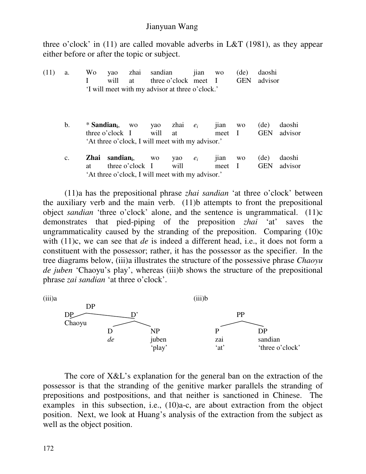three o'clock' in (11) are called movable adverbs in L&T (1981), as they appear either before or after the topic or subject.

| (11) | a.             | Wo                       | yao                                              | zhai            | sandian     |                    | 11an  | <b>WO</b>    | (de)                      | daoshi             |                   |
|------|----------------|--------------------------|--------------------------------------------------|-----------------|-------------|--------------------|-------|--------------|---------------------------|--------------------|-------------------|
|      |                |                          | will                                             | at              |             | three o'clock meet |       | - 1          | <b>GEN</b>                | advisor            |                   |
|      |                |                          | 'I will meet with my advisor at three o'clock.'  |                 |             |                    |       |              |                           |                    |                   |
|      | b.             | * Sandian <sub>i</sub> , | three o'clock I                                  | <b>WO</b>       | yao<br>will | zhai<br>at         | $e_i$ | 11an<br>meet | <b>WO</b><br>$\mathbf{1}$ | (de)<br><b>GEN</b> | daoshi<br>advisor |
|      |                |                          | 'At three o'clock, I will meet with my advisor.' |                 |             |                    |       |              |                           |                    |                   |
|      | $\mathbf{c}$ . | Zhai                     | sandian <sub>i</sub>                             |                 | <b>WO</b>   | yao                | $e_i$ | 11an         | <b>WO</b>                 | (de)               | daoshi            |
|      |                | at                       |                                                  | three o'clock I |             | will               |       | meet         | $\mathbf{I}$              | <b>GEN</b>         | advisor           |
|      |                |                          | 'At three o'clock, I will meet with my advisor.' |                 |             |                    |       |              |                           |                    |                   |

(11)a has the prepositional phrase *zhai sandian* 'at three o'clock' between the auxiliary verb and the main verb. (11)b attempts to front the prepositional object *sandian* 'three o'clock' alone, and the sentence is ungrammatical. (11)c demonstrates that pied-piping of the preposition *zhai* 'at' saves the ungrammaticality caused by the stranding of the preposition. Comparing (10)c with (11)c, we can see that *de* is indeed a different head, i.e., it does not form a constituent with the possessor; rather, it has the possessor as the specifier. In the tree diagrams below, (iii)a illustrates the structure of the possessive phrase *Chaoyu de juben* 'Chaoyu's play', whereas (iii)b shows the structure of the prepositional phrase *zai sandian* 'at three o'clock'.



The core of X&L's explanation for the general ban on the extraction of the possessor is that the stranding of the genitive marker parallels the stranding of prepositions and postpositions, and that neither is sanctioned in Chinese. The examples in this subsection, i.e., (10)a-c, are about extraction from the object position. Next, we look at Huang's analysis of the extraction from the subject as well as the object position.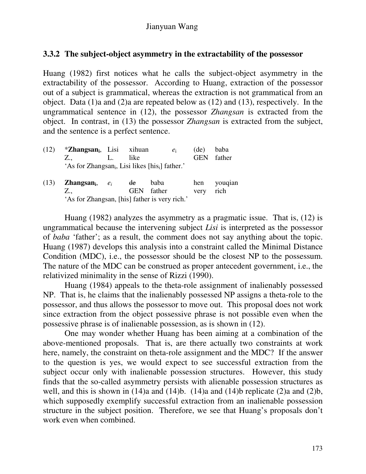## **3.3.2 The subject-object asymmetry in the extractability of the possessor**

Huang (1982) first notices what he calls the subject-object asymmetry in the extractability of the possessor. According to Huang, extraction of the possessor out of a subject is grammatical, whereas the extraction is not grammatical from an object. Data (1)a and (2)a are repeated below as (12) and (13), respectively. In the ungrammatical sentence in (12), the possessor *Zhangsan* is extracted from the object. In contrast, in (13) the possessor *Zhangsan* is extracted from the subject, and the sentence is a perfect sentence.

| (12) | <b>*Zhangsan</b> <sub>i</sub> , Lisi xihuan                             |            | $e_i$                                         | (de)       | baba    |
|------|-------------------------------------------------------------------------|------------|-----------------------------------------------|------------|---------|
|      | $Z_{\cdot\cdot}$                                                        | like       |                                               | <b>GEN</b> | father  |
|      | 'As for Zhangsan <sub>i</sub> , Lisi likes [his <sub>i</sub> ] father.' |            |                                               |            |         |
| (13) | <b>Zhangsan</b> <sub>i</sub> , $e_i$                                    | de         | baba                                          | hen        | youqian |
|      | Z.,                                                                     | <b>GEN</b> | father                                        | very       | rich    |
|      |                                                                         |            | 'As for Zhangsan, [his] father is very rich.' |            |         |

Huang (1982) analyzes the asymmetry as a pragmatic issue. That is, (12) is ungrammatical because the intervening subject *Lisi* is interpreted as the possessor of *baba* 'father'; as a result, the comment does not say anything about the topic. Huang (1987) develops this analysis into a constraint called the Minimal Distance Condition (MDC), i.e., the possessor should be the closest NP to the possessum. The nature of the MDC can be construed as proper antecedent government, i.e., the relativized minimality in the sense of Rizzi (1990).

Huang (1984) appeals to the theta-role assignment of inalienably possessed NP. That is, he claims that the inalienably possessed NP assigns a theta-role to the possessor, and thus allows the possessor to move out. This proposal does not work since extraction from the object possessive phrase is not possible even when the possessive phrase is of inalienable possession, as is shown in (12).

One may wonder whether Huang has been aiming at a combination of the above-mentioned proposals. That is, are there actually two constraints at work here, namely, the constraint on theta-role assignment and the MDC? If the answer to the question is yes, we would expect to see successful extraction from the subject occur only with inalienable possession structures. However, this study finds that the so-called asymmetry persists with alienable possession structures as well, and this is shown in (14)a and (14)b. (14)a and (14)b replicate (2)a and (2)b, which supposedly exemplify successful extraction from an inalienable possession structure in the subject position. Therefore, we see that Huang's proposals don't work even when combined.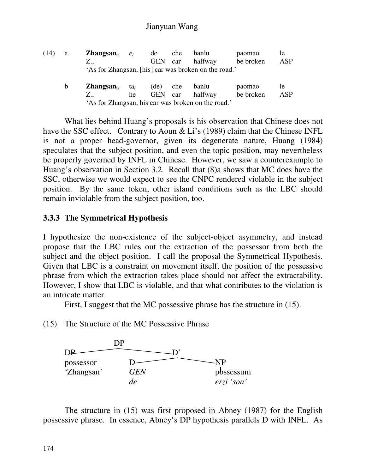| (14) | a. | $Z$ hangsan <sub>i</sub> , | $e_i$           | de         | che | banlu                                                | paomao    | le         |
|------|----|----------------------------|-----------------|------------|-----|------------------------------------------------------|-----------|------------|
|      |    | Z.,                        |                 | <b>GEN</b> | car | halfway                                              | be broken | <b>ASP</b> |
|      |    |                            |                 |            |     | 'As for Zhangsan, [his] car was broken on the road.' |           |            |
|      | b  | Zhangsan <sub>i</sub>      | ta <sub>i</sub> | (de)       | che | banlu                                                | paomao    | le         |
|      |    | Z.,                        | he              | GEN car    |     | halfway                                              | be broken | <b>ASP</b> |
|      |    |                            |                 |            |     | 'As for Zhangsan, his car was broken on the road.'   |           |            |

What lies behind Huang's proposals is his observation that Chinese does not have the SSC effect. Contrary to Aoun & Li's (1989) claim that the Chinese INFL is not a proper head-governor, given its degenerate nature, Huang (1984) speculates that the subject position, and even the topic position, may nevertheless be properly governed by INFL in Chinese. However, we saw a counterexample to Huang's observation in Section 3.2. Recall that (8)a shows that MC does have the SSC, otherwise we would expect to see the CNPC rendered violable in the subject position. By the same token, other island conditions such as the LBC should remain inviolable from the subject position, too.

# **3.3.3 The Symmetrical Hypothesis**

I hypothesize the non-existence of the subject-object asymmetry, and instead propose that the LBC rules out the extraction of the possessor from both the subject and the object position. I call the proposal the Symmetrical Hypothesis. Given that LBC is a constraint on movement itself, the position of the possessive phrase from which the extraction takes place should not affect the extractability. However, I show that LBC is violable, and that what contributes to the violation is an intricate matter.

First, I suggest that the MC possessive phrase has the structure in (15).

(15) The Structure of the MC Possessive Phrase



The structure in (15) was first proposed in Abney (1987) for the English possessive phrase. In essence, Abney's DP hypothesis parallels D with INFL. As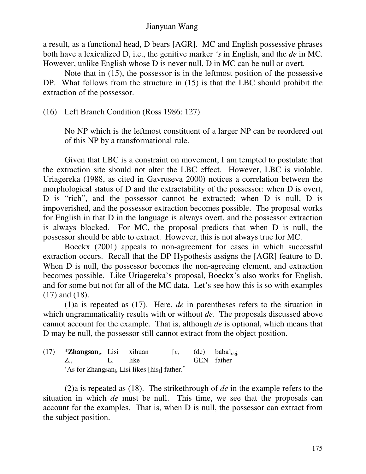a result, as a functional head, D bears [AGR]. MC and English possessive phrases both have a lexicalized D, i.e., the genitive marker *'s* in English, and the *de* in MC. However, unlike English whose D is never null, D in MC can be null or overt.

Note that in (15), the possessor is in the leftmost position of the possessive DP. What follows from the structure in (15) is that the LBC should prohibit the extraction of the possessor.

(16) Left Branch Condition (Ross 1986: 127)

No NP which is the leftmost constituent of a larger NP can be reordered out of this NP by a transformational rule.

Given that LBC is a constraint on movement, I am tempted to postulate that the extraction site should not alter the LBC effect. However, LBC is violable. Uriagereka (1988, as cited in Gavruseva 2000) notices a correlation between the morphological status of D and the extractability of the possessor: when D is overt, D is "rich", and the possessor cannot be extracted; when D is null, D is impoverished, and the possessor extraction becomes possible. The proposal works for English in that D in the language is always overt, and the possessor extraction is always blocked. For MC, the proposal predicts that when D is null, the possessor should be able to extract. However, this is not always true for MC.

Boeckx (2001) appeals to non-agreement for cases in which successful extraction occurs. Recall that the DP Hypothesis assigns the [AGR] feature to D. When D is null, the possessor becomes the non-agreeing element, and extraction becomes possible. Like Uriagereka's proposal, Boeckx's also works for English, and for some but not for all of the MC data. Let's see how this is so with examples (17) and (18).

(1)a is repeated as (17). Here, *de* in parentheses refers to the situation in which ungrammaticality results with or without *de*. The proposals discussed above cannot account for the example. That is, although *de* is optional, which means that D may be null, the possessor still cannot extract from the object position.

(17) \***Zhangsan<sup>i</sup>**  $\mathbf{x}$ ihuan [ $e_i$  (de) baba]<sub>obi.</sub> Z., L. like GEN father 'As for Zhangsan<sub>i</sub>, Lisi likes [his<sub>i</sub>] father.'

(2)a is repeated as (18). The strikethrough of *de* in the example refers to the situation in which *de* must be null. This time, we see that the proposals can account for the examples. That is, when D is null, the possessor can extract from the subject position.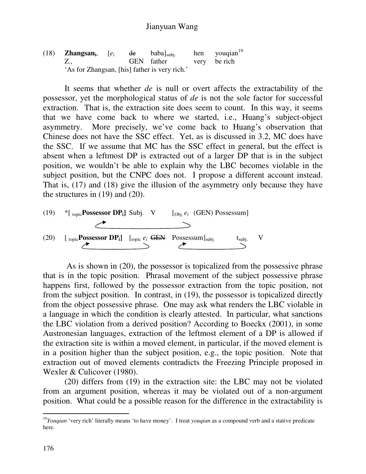| (18) <b>Zhangsan</b> <sub>i</sub> , $[e_i]$ |  | <del>de</del> baba] <sub>subi.</sub>          | hen youqian $19$ |
|---------------------------------------------|--|-----------------------------------------------|------------------|
| $\mathcal{L}$                               |  | GEN father very be rich                       |                  |
|                                             |  | 'As for Zhangsan, [his] father is very rich.' |                  |

It seems that whether *de* is null or overt affects the extractability of the possessor, yet the morphological status of *de* is not the sole factor for successful extraction. That is, the extraction site does seem to count. In this way, it seems that we have come back to where we started, i.e., Huang's subject-object asymmetry. More precisely, we've come back to Huang's observation that Chinese does not have the SSC effect. Yet, as is discussed in 3.2, MC does have the SSC. If we assume that MC has the SSC effect in general, but the effect is absent when a leftmost DP is extracted out of a larger DP that is in the subject position, we wouldn't be able to explain why the LBC becomes violable in the subject position, but the CNPC does not. I propose a different account instead. That is, (17) and (18) give the illusion of the asymmetry only because they have the structures in (19) and (20).



As is shown in (20), the possessor is topicalized from the possessive phrase that is in the topic position. Phrasal movement of the subject possessive phrase happens first, followed by the possessor extraction from the topic position, not from the subject position. In contrast, in (19), the possessor is topicalized directly from the object possessive phrase. One may ask what renders the LBC violable in a language in which the condition is clearly attested. In particular, what sanctions the LBC violation from a derived position? According to Boeckx (2001), in some Austronesian languages, extraction of the leftmost element of a DP is allowed if the extraction site is within a moved element, in particular, if the moved element is in a position higher than the subject position, e.g., the topic position. Note that extraction out of moved elements contradicts the Freezing Principle proposed in Wexler & Culicover (1980).

(20) differs from (19) in the extraction site: the LBC may not be violated from an argument position, whereas it may be violated out of a non-argument position. What could be a possible reason for the difference in the extractability is

<sup>&</sup>lt;sup>19</sup>*Youqian* 'very rich' literally means 'to have money'. I treat *youqian* as a compound verb and a stative predicate here.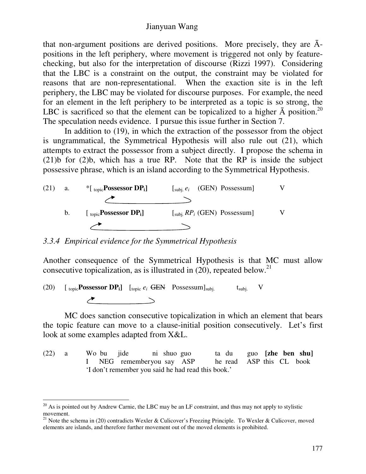that non-argument positions are derived positions. More precisely, they are  $\bar{A}$ positions in the left periphery, where movement is triggered not only by featurechecking, but also for the interpretation of discourse (Rizzi 1997). Considering that the LBC is a constraint on the output, the constraint may be violated for reasons that are non-representational. When the exaction site is in the left periphery, the LBC may be violated for discourse purposes. For example, the need for an element in the left periphery to be interpreted as a topic is so strong, the LBC is sacrificed so that the element can be topicalized to a higher  $\bar{A}$  position.<sup>20</sup> The speculation needs evidence. I pursue this issue further in Section 7.

In addition to (19), in which the extraction of the possessor from the object is ungrammatical, the Symmetrical Hypothesis will also rule out (21), which attempts to extract the possessor from a subject directly. I propose the schema in (21)b for (2)b, which has a true RP. Note that the RP is inside the subject possessive phrase, which is an island according to the Symmetrical Hypothesis.



# *3.3.4 Empirical evidence for the Symmetrical Hypothesis*

Another consequence of the Symmetrical Hypothesis is that MC must allow consecutive topicalization, as is illustrated in  $(20)$ , repeated below.<sup>21</sup>

(20) [ topic**Possessor DPi]** [topic *e<sup>i</sup>* GEN Possessum]subj. tsubj. V  $\sim$   $\sim$ 

MC does sanction consecutive topicalization in which an element that bears the topic feature can move to a clause-initial position consecutively. Let's first look at some examples adapted from X&L.

(22) a Wo bu jide ni shuo guo ta du guo **[zhe ben shu]** I NEG rememberyou say ASP he read ASP this CL book 'I don't remember you said he had read this book.'

 $^{20}$  As is pointed out by Andrew Carnie, the LBC may be an LF constraint, and thus may not apply to stylistic movement.

<sup>&</sup>lt;sup>21</sup> Note the schema in (20) contradicts Wexler & Culicover's Freezing Principle. To Wexler & Culicover, moved elements are islands, and therefore further movement out of the moved elements is prohibited.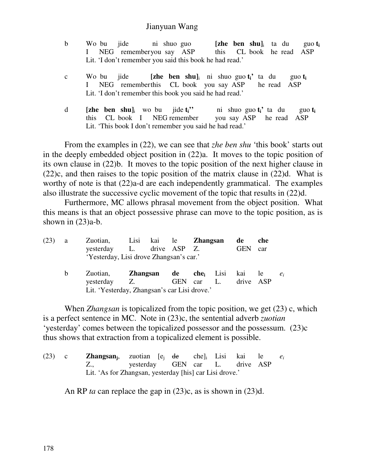- b Wo bu jide ni shuo guo **[zhe ben shu]**<sup>i</sup> ta du guo **t<sup>i</sup>** I NEG rememberyou say ASP this CL book he read ASP Lit. 'I don't remember you said this book he had read.'
- c Wo bu jide **[zhe ben shu]**<sup>i</sup> ni shuo guo **ti'** ta du guo **t<sup>i</sup>** I NEG rememberthis CL book you say ASP he read ASP Lit. 'I don't remember this book you said he had read.'
- d **[zhe ben shu]**<sub>i</sub> wo bu jide  $t_i$ <sup>"</sup> ni shuo guo  $t_i$ <sup>'</sup> ta du guo  $t_i$  this CL book I NEG remember you say ASP he read ASP this CL book I NEG remember you say ASP he read ASP Lit. 'This book I don't remember you said he had read.'

From the examples in (22), we can see that *zhe ben shu* 'this book' starts out in the deeply embedded object position in (22)a. It moves to the topic position of its own clause in (22)b. It moves to the topic position of the next higher clause in (22)c, and then raises to the topic position of the matrix clause in (22)d. What is worthy of note is that  $(22)a$ -d are each independently grammatical. The examples also illustrate the successive cyclic movement of the topic that results in (22)d.

Furthermore, MC allows phrasal movement from the object position. What this means is that an object possessive phrase can move to the topic position, as is shown in  $(23)a-b$ .

| (23) | a | Zuotian,<br>yesterday<br>'Yesterday, Lisi drove Zhangsan's car.'      | L.             | Lisi kai le<br>drive ASP Z. |                  | Zhangsan |                                    | de<br><b>GEN</b> | che<br>car           |       |
|------|---|-----------------------------------------------------------------------|----------------|-----------------------------|------------------|----------|------------------------------------|------------------|----------------------|-------|
|      | b | Zuotian,<br>yesterday<br>Lit. 'Yesterday, Zhangsan's car Lisi drove.' | Zhangsan<br>Z. |                             | de<br><b>GEN</b> | car      | <b>che</b> <sub>i</sub> Lisi<br>L. | kai<br>drive     | <sub>le</sub><br>ASP | $e_i$ |

When *Zhangsan* is topicalized from the topic position, we get (23) c, which is a perfect sentence in MC. Note in (23)c, the sentential adverb *zuotian* 'yesterday' comes between the topicalized possessor and the possessum. (23)c thus shows that extraction from a topicalized element is possible.

| $(23)$ c |                                                         | <b>Zhangsan</b> <sub>i</sub> , zuotian $[e_i$ <del>de</del> che i Lisi kai le $e_i$ |  |  |  |  |  |  |  |  |  |
|----------|---------------------------------------------------------|-------------------------------------------------------------------------------------|--|--|--|--|--|--|--|--|--|
|          |                                                         | Z., yesterday GEN car L. drive ASP                                                  |  |  |  |  |  |  |  |  |  |
|          | Lit. 'As for Zhangsan, yesterday [his] car Lisi drove.' |                                                                                     |  |  |  |  |  |  |  |  |  |

An RP *ta* can replace the gap in (23)c, as is shown in (23)d.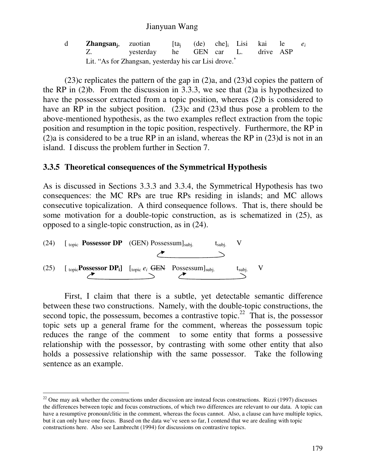d **Zhangsan<sup>j</sup>** , zuotian [ta<sup>j</sup> (de) che]<sup>i</sup> Lisi kai le *e<sup>i</sup>* Z. yesterday he GEN car L. drive ASP Lit. "As for Zhangsan, yesterday his car Lisi drove.'

(23)c replicates the pattern of the gap in (2)a, and (23)d copies the pattern of the RP in (2)b. From the discussion in 3.3.3, we see that (2)a is hypothesized to have the possessor extracted from a topic position, whereas (2)b is considered to have an RP in the subject position. (23)c and (23)d thus pose a problem to the above-mentioned hypothesis, as the two examples reflect extraction from the topic position and resumption in the topic position, respectively. Furthermore, the RP in (2)a is considered to be a true RP in an island, whereas the RP in (23)d is not in an island. I discuss the problem further in Section 7.

#### **3.3.5 Theoretical consequences of the Symmetrical Hypothesis**

As is discussed in Sections 3.3.3 and 3.3.4, the Symmetrical Hypothesis has two consequences: the MC RPs are true RPs residing in islands; and MC allows consecutive topicalization. A third consequence follows. That is, there should be some motivation for a double-topic construction, as is schematized in (25), as opposed to a single-topic construction, as in (24).



First, I claim that there is a subtle, yet detectable semantic difference between these two constructions. Namely, with the double-topic constructions, the second topic, the possessum, becomes a contrastive topic.<sup>22</sup> That is, the possessor topic sets up a general frame for the comment, whereas the possessum topic reduces the range of the comment to some entity that forms a possessive relationship with the possessor, by contrasting with some other entity that also holds a possessive relationship with the same possessor. Take the following sentence as an example.

 $22$  One may ask whether the constructions under discussion are instead focus constructions. Rizzi (1997) discusses the differences between topic and focus constructions, of which two differences are relevant to our data. A topic can have a resumptive pronoun/clitic in the comment, whereas the focus cannot. Also, a clause can have multiple topics, but it can only have one focus. Based on the data we've seen so far, I contend that we are dealing with topic constructions here. Also see Lambrecht (1994) for discussions on contrastive topics.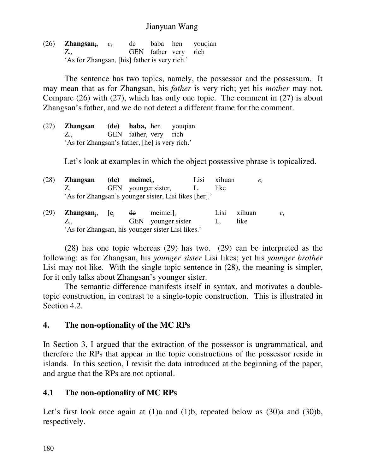(26) **Zhangsan<sup>i</sup> ,** *e<sup>i</sup>* de baba hen youqian Z., GEN father very rich 'As for Zhangsan, [his] father is very rich.'

The sentence has two topics, namely, the possessor and the possessum. It may mean that as for Zhangsan, his *father* is very rich; yet his *mother* may not. Compare (26) with (27), which has only one topic. The comment in (27) is about Zhangsan's father, and we do not detect a different frame for the comment.

(27) **Zhangsan (de) baba,** hen youqian Z., GEN father, very rich 'As for Zhangsan's father, [he] is very rich.'

Let's look at examples in which the object possessive phrase is topicalized.

| (28) | <b>Zhangsan</b>                               | (de)<br><b>GEN</b> | meimei <sub>i</sub> . | younger sister,<br>'As for Zhangsan's younger sister, Lisi likes [her].'      | Lisi | xihuan<br>like | $e_i$          |       |
|------|-----------------------------------------------|--------------------|-----------------------|-------------------------------------------------------------------------------|------|----------------|----------------|-------|
| (29) | <b>Zhangsan</b> <sub>i</sub> , $[e_i]$<br>Z., |                    | de<br><b>GEN</b>      | meimei<br>younger sister<br>'As for Zhangsan, his younger sister Lisi likes.' |      | Lisi           | xihuan<br>like | $e_i$ |

(28) has one topic whereas (29) has two. (29) can be interpreted as the following: as for Zhangsan, his *younger sister* Lisi likes; yet his *younger brother* Lisi may not like. With the single-topic sentence in (28), the meaning is simpler, for it only talks about Zhangsan's younger sister.

The semantic difference manifests itself in syntax, and motivates a doubletopic construction, in contrast to a single-topic construction. This is illustrated in Section 4.2.

# **4. The non-optionality of the MC RPs**

In Section 3, I argued that the extraction of the possessor is ungrammatical, and therefore the RPs that appear in the topic constructions of the possessor reside in islands. In this section, I revisit the data introduced at the beginning of the paper, and argue that the RPs are not optional.

# **4.1 The non-optionality of MC RPs**

Let's first look once again at (1)a and (1)b, repeated below as (30)a and (30)b, respectively.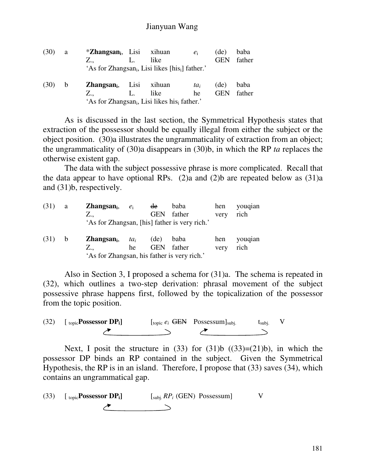| (30) | a | <i>*Zhangsan<sub>i</sub></i> , Lisi xihuan |    |                                                                         | $e_i$  | (de)       | baba   |
|------|---|--------------------------------------------|----|-------------------------------------------------------------------------|--------|------------|--------|
|      |   | $Z_{\cdot\cdot}$                           | L. | like                                                                    |        | <b>GEN</b> | father |
|      |   |                                            |    | 'As for Zhangsan <sub>i</sub> , Lisi likes [his <sub>i</sub> ] father.' |        |            |        |
| (30) | b | <b>Zhangsan</b> <sub>i</sub> , Lisi xihuan |    |                                                                         | $ta_i$ | (de)       | baba   |
|      |   | Z.,                                        | L. | like                                                                    | he     | <b>GEN</b> | father |
|      |   |                                            |    | 'As for Zhangsan <sub>i</sub> , Lisi likes his father.'                 |        |            |        |

As is discussed in the last section, the Symmetrical Hypothesis states that extraction of the possessor should be equally illegal from either the subject or the object position. (30)a illustrates the ungrammaticality of extraction from an object; the ungrammaticality of (30)a disappears in (30)b, in which the RP *ta* replaces the otherwise existent gap.

The data with the subject possessive phrase is more complicated. Recall that the data appear to have optional RPs. (2)a and (2)b are repeated below as  $(31)a$ and (31)b, respectively.

| (31) | a | Zhangsan <sub>i</sub> ,                     | $e_i$  | de         | baba                                          | hen  | youqian |
|------|---|---------------------------------------------|--------|------------|-----------------------------------------------|------|---------|
|      |   | Z.,                                         |        | <b>GEN</b> | father                                        | very | rich    |
|      |   |                                             |        |            | 'As for Zhangsan, [his] father is very rich.' |      |         |
| (31) | b | Zhangsan <sub>i</sub> ,                     | $ta_i$ | (de)       | baba                                          | hen  | youqian |
|      |   | Z.,                                         | he     | <b>GEN</b> | father                                        | very | rich    |
|      |   | 'As for Zhangsan, his father is very rich.' |        |            |                                               |      |         |

Also in Section 3, I proposed a schema for (31)a. The schema is repeated in (32), which outlines a two-step derivation: phrasal movement of the subject possessive phrase happens first, followed by the topicalization of the possessor from the topic position.

(32) [ topic**Possessor DPi]** [topic *e<sup>i</sup>* GEN Possessum]subj. tsubj. V  $\sim$   $\sim$   $\sim$  $\epsilon$  and the set of  $\epsilon$  $\mathbb{R}^2$ 

Next, I posit the structure in  $(33)$  for  $(31)b$   $((33)=(21)b)$ , in which the possessor DP binds an RP contained in the subject. Given the Symmetrical Hypothesis, the RP is in an island. Therefore, I propose that (33) saves (34), which contains an ungrammatical gap.

(33) 
$$
\left[\right._{\text{topic}}
$$
 **Possessor DP**<sub>i</sub>  $\left[\right. \left\langle \right. \left\langle \right. RP_i \left( \text{GEN} \right) \left. \right\rangle \left\langle \right. R\right)$   $\left\langle \right. \left\langle \right. \left\langle \right. \left\langle \right. RP_i \left( \text{GEN} \right) \left. \right\rangle \left\langle \right. R\right\rangle$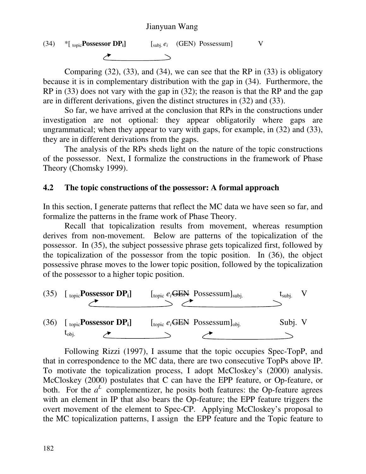

Comparing (32), (33), and (34), we can see that the RP in (33) is obligatory because it is in complementary distribution with the gap in (34). Furthermore, the RP in (33) does not vary with the gap in (32); the reason is that the RP and the gap are in different derivations, given the distinct structures in (32) and (33).

So far, we have arrived at the conclusion that RPs in the constructions under investigation are not optional: they appear obligatorily where gaps are ungrammatical; when they appear to vary with gaps, for example, in (32) and (33), they are in different derivations from the gaps.

The analysis of the RPs sheds light on the nature of the topic constructions of the possessor. Next, I formalize the constructions in the framework of Phase Theory (Chomsky 1999).

# **4.2 The topic constructions of the possessor: A formal approach**

In this section, I generate patterns that reflect the MC data we have seen so far, and formalize the patterns in the frame work of Phase Theory.

Recall that topicalization results from movement, whereas resumption derives from non-movement. Below are patterns of the topicalization of the possessor. In (35), the subject possessive phrase gets topicalized first, followed by the topicalization of the possessor from the topic position. In (36), the object possessive phrase moves to the lower topic position, followed by the topicalization of the possessor to a higher topic position.



Following Rizzi (1997), I assume that the topic occupies Spec-TopP, and that in correspondence to the MC data, there are two consecutive TopPs above IP. To motivate the topicalization process, I adopt McCloskey's (2000) analysis. McCloskey (2000) postulates that C can have the EPP feature, or Op-feature, or both. For the  $a^L$  complementizer, he posits both features: the Op-feature agrees with an element in IP that also bears the Op-feature; the EPP feature triggers the overt movement of the element to Spec-CP. Applying McCloskey's proposal to the MC topicalization patterns, I assign the EPP feature and the Topic feature to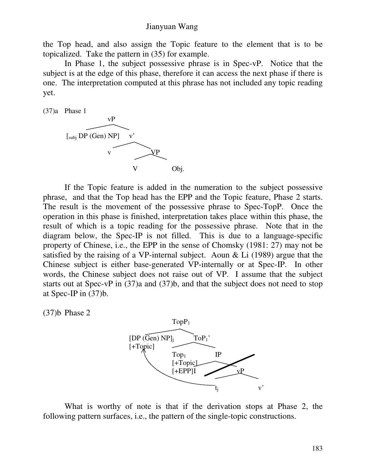the Top head, and also assign the Topic feature to the element that is to be topicalized. Take the pattern in (35) for example.

In Phase 1, the subject possessive phrase is in Spec-vP. Notice that the subject is at the edge of this phase, therefore it can access the next phase if there is one. The interpretation computed at this phrase has not included any topic reading yet.



If the Topic feature is added in the numeration to the subject possessive phrase, and that the Top head has the EPP and the Topic feature, Phase 2 starts. The result is the movement of the possessive phrase to Spec-TopP. Once the operation in this phase is finished, interpretation takes place within this phase, the result of which is a topic reading for the possessive phrase. Note that in the diagram below, the Spec-IP is not filled. This is due to a language-specific property of Chinese, i.e., the EPP in the sense of Chomsky (1981: 27) may not be satisfied by the raising of a VP-internal subject. Aoun & Li (1989) argue that the Chinese subject is either base-generated VP-internally or at Spec-IP. In other words, the Chinese subject does not raise out of VP. I assume that the subject starts out at Spec-vP in (37)a and (37)b, and that the subject does not need to stop at Spec-IP in (37)b.

(37)b Phase 2



What is worthy of note is that if the derivation stops at Phase 2, the following pattern surfaces, i.e., the pattern of the single-topic constructions.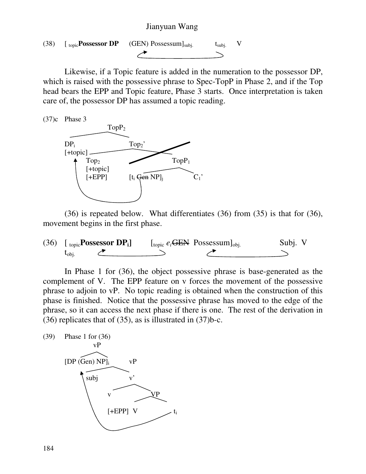(38)  $\left[\begin{array}{cc} \text{tonic} \text{Possessor DP} & \text{(GEN) Possessum}\end{array}\right]$ 

Likewise, if a Topic feature is added in the numeration to the possessor DP, which is raised with the possessive phrase to Spec-TopP in Phase 2, and if the Top head bears the EPP and Topic feature, Phase 3 starts. Once interpretation is taken care of, the possessor DP has assumed a topic reading.

(37)c Phase 3



(36) is repeated below. What differentiates (36) from (35) is that for (36), movement begins in the first phase.



In Phase 1 for (36), the object possessive phrase is base-generated as the complement of V. The EPP feature on v forces the movement of the possessive phrase to adjoin to vP. No topic reading is obtained when the construction of this phase is finished. Notice that the possessive phrase has moved to the edge of the phrase, so it can access the next phase if there is one. The rest of the derivation in (36) replicates that of (35), as is illustrated in (37)b-c.

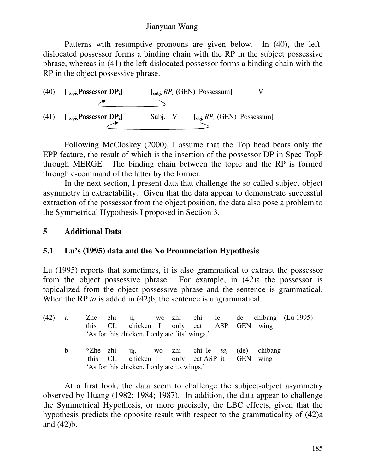Patterns with resumptive pronouns are given below. In (40), the leftdislocated possessor forms a binding chain with the RP in the subject possessive phrase, whereas in (41) the left-dislocated possessor forms a binding chain with the RP in the object possessive phrase.



Following McCloskey (2000), I assume that the Top head bears only the EPP feature, the result of which is the insertion of the possessor DP in Spec-TopP through MERGE. The binding chain between the topic and the RP is formed through c-command of the latter by the former.

In the next section, I present data that challenge the so-called subject-object asymmetry in extractability. Given that the data appear to demonstrate successful extraction of the possessor from the object position, the data also pose a problem to the Symmetrical Hypothesis I proposed in Section 3.

#### **5 Additional Data**

#### **5.1 Lu's (1995) data and the No Pronunciation Hypothesis**

Lu (1995) reports that sometimes, it is also grammatical to extract the possessor from the object possessive phrase. For example, in (42)a the possessor is topicalized from the object possessive phrase and the sentence is grammatical. When the RP *ta* is added in (42)b, the sentence is ungrammatical.

| (42) | a |         |                                                                                    |  |  |                                                    | Zhe zhi ji, wo zhi chi le de chibang (Lu 1995) |
|------|---|---------|------------------------------------------------------------------------------------|--|--|----------------------------------------------------|------------------------------------------------|
|      |   | this CL | chicken I only eat ASP GEN wing                                                    |  |  |                                                    |                                                |
|      |   |         | 'As for this chicken, I only ate [its] wings.'                                     |  |  |                                                    |                                                |
|      | b | this CL | chicken I only eat ASP it GEN wing<br>'As for this chicken, I only ate its wings.' |  |  | *Zhe zhi $ii_i$ , wo zhi chile $ta_i$ (de) chibang |                                                |

At a first look, the data seem to challenge the subject-object asymmetry observed by Huang (1982; 1984; 1987). In addition, the data appear to challenge the Symmetrical Hypothesis, or more precisely, the LBC effects, given that the hypothesis predicts the opposite result with respect to the grammaticality of (42)a and (42)b.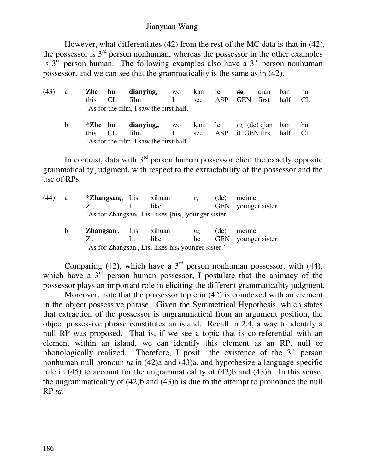However, what differentiates (42) from the rest of the MC data is that in (42), the possessor is  $3<sup>rd</sup>$  person nonhuman, whereas the possessor in the other examples is  $3<sup>rd</sup>$  person human. The following examples also have a  $3<sup>rd</sup>$  person nonhuman possessor, and we can see that the grammaticality is the same as in (42).

| (43) | a | Zhe<br>this            | bu<br>CL. | dianying, wo kan le<br>film<br>'As for the film, I saw the first half.' | see           | ASP | de<br><b>GEN</b>  | q <sub>1</sub> an<br>first | ban<br>half | bu        |
|------|---|------------------------|-----------|-------------------------------------------------------------------------|---------------|-----|-------------------|----------------------------|-------------|-----------|
|      | b | <i>*Zhe</i> bu<br>this | CL.       | dianying, wo<br>film<br>'As for the film, I saw the first half.'        | kan le<br>see | ASP | it GEN first half | $ta_i$ (de) gian ban       |             | bu<br>CL. |

In contrast, data with  $3<sup>rd</sup>$  person human possessor elicit the exactly opposite grammaticality judgment, with respect to the extractability of the possessor and the use of RPs.

| (44) | a | <b>*Zhangsan</b> <sub>i</sub> , Lisi xihuan |                                                                                 | $e_i$ | (de)       | meimei         |
|------|---|---------------------------------------------|---------------------------------------------------------------------------------|-------|------------|----------------|
|      |   | Z.,                                         | like                                                                            |       | <b>GEN</b> | younger sister |
|      |   |                                             | 'As for Zhangsan <sub>i</sub> , Lisi likes [his <sub>i</sub> ] younger sister.' |       |            |                |
|      | b | <b>Zhangsan</b> <sub>i</sub> , Lisi         | xihuan                                                                          | ta;   | (de)       | meimei         |
|      |   | Z.,                                         | like                                                                            | he    | <b>GEN</b> | younger sister |
|      |   |                                             | 'As for Zhangsan <sub>i</sub> , Lisi likes his <sub>i</sub> younger sister.'    |       |            |                |

Comparing (42), which have a  $3<sup>rd</sup>$  person nonhuman possessor, with (44), which have a  $3<sup>rd</sup>$  person human possessor, I postulate that the animacy of the possessor plays an important role in eliciting the different grammaticality judgment.

Moreover, note that the possessor topic in (42) is coindexed with an element in the object possessive phrase. Given the Symmetrical Hypothesis, which states that extraction of the possessor is ungrammatical from an argument position, the object possessive phrase constitutes an island. Recall in 2.4, a way to identify a null RP was proposed. That is, if we see a topic that is co-referential with an element within an island, we can identify this element as an RP, null or phonologically realized. Therefore, I posit the existence of the  $3<sup>rd</sup>$  person nonhuman null pronoun *ta* in (42)a and (43)a, and hypothesize a language-specific rule in (45) to account for the ungrammaticality of (42)b and (43)b. In this sense, the ungrammaticality of (42)b and (43)b is due to the attempt to pronounce the null RP *ta*.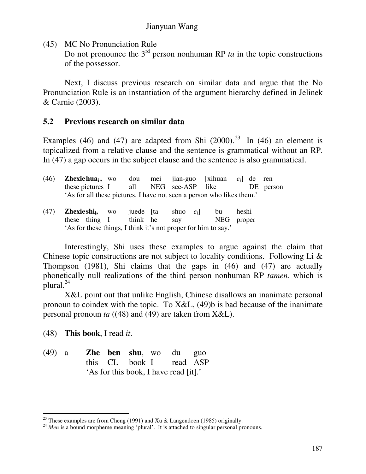(45) MC No Pronunciation Rule

Do not pronounce the  $3<sup>rd</sup>$  person nonhuman RP *ta* in the topic constructions of the possessor.

Next, I discuss previous research on similar data and argue that the No Pronunciation Rule is an instantiation of the argument hierarchy defined in Jelinek & Carnie (2003).

## **5.2 Previous research on similar data**

Examples (46) and (47) are adapted from Shi  $(2000).^{23}$  In (46) an element is topicalized from a relative clause and the sentence is grammatical without an RP. In (47) a gap occurs in the subject clause and the sentence is also grammatical.

| (46) <b>Zhexiehua</b> <sub>i</sub> , wo dou mei jian-guo [xihuan $e_i$ ] de ren |  |  |  |  |
|---------------------------------------------------------------------------------|--|--|--|--|
| these pictures I all NEG see-ASP like DE person                                 |  |  |  |  |
| 'As for all these pictures, I have not seen a person who likes them.'           |  |  |  |  |

(47) **Zhexie shi<sup>i</sup> ,** wo juede [ta shuo *ei*] bu heshi these thing I think he say NEG proper 'As for these things, I think it's not proper for him to say.'

Interestingly, Shi uses these examples to argue against the claim that Chinese topic constructions are not subject to locality conditions. Following Li & Thompson (1981), Shi claims that the gaps in (46) and (47) are actually phonetically null realizations of the third person nonhuman RP *tamen*, which is plural.<sup>24</sup>

X&L point out that unlike English, Chinese disallows an inanimate personal pronoun to coindex with the topic. To X&L, (49)b is bad because of the inanimate personal pronoun *ta* ((48) and (49) are taken from X&L).

(48) **This book**, I read *it*.

(49) a **Zhe ben shu**, wo du guo this CL book I read ASP 'As for this book, I have read [it].'

<sup>&</sup>lt;sup>23</sup> These examples are from Cheng (1991) and Xu & Langendoen (1985) originally.

<sup>&</sup>lt;sup>24</sup> Men is a bound morpheme meaning 'plural'. It is attached to singular personal pronouns.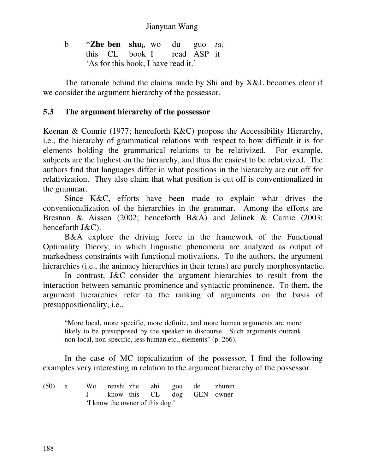b \***Zhe ben shu**<sub>i</sub>, wo<br>this CL **book** I  $du$  guo  $ta_i$ this CL book I read ASP it 'As for this book, I have read it.'

The rationale behind the claims made by Shi and by X&L becomes clear if we consider the argument hierarchy of the possessor.

## **5.3 The argument hierarchy of the possessor**

Keenan & Comrie (1977; henceforth K&C) propose the Accessibility Hierarchy, i.e., the hierarchy of grammatical relations with respect to how difficult it is for elements holding the grammatical relations to be relativized. For example, subjects are the highest on the hierarchy, and thus the easiest to be relativized. The authors find that languages differ in what positions in the hierarchy are cut off for relativization. They also claim that what position is cut off is conventionalized in the grammar.

Since K&C, efforts have been made to explain what drives the conventionalization of the hierarchies in the grammar. Among the efforts are Bresnan & Aissen (2002; henceforth B&A) and Jelinek & Carnie (2003; henceforth J&C).

B&A explore the driving force in the framework of the Functional Optimality Theory, in which linguistic phenomena are analyzed as output of markedness constraints with functional motivations. To the authors, the argument hierarchies (*i.e.*, the animacy hierarchies in their terms) are purely morphosyntactic.

In contrast, J&C consider the argument hierarchies to result from the interaction between semantic prominence and syntactic prominence. To them, the argument hierarchies refer to the ranking of arguments on the basis of presuppositionality, i.e.,

"More local, more specific, more definite, and more human arguments are more likely to be presupposed by the speaker in discourse. Such arguments outrank non-local, non-specific, less human etc., elements" (p. 266).

In the case of MC topicalization of the possessor, I find the following examples very interesting in relation to the argument hierarchy of the possessor.

(50) a Wo renshi zhe zhi gou de zhuren I know this CL dog GEN owner 'I know the owner of this dog.'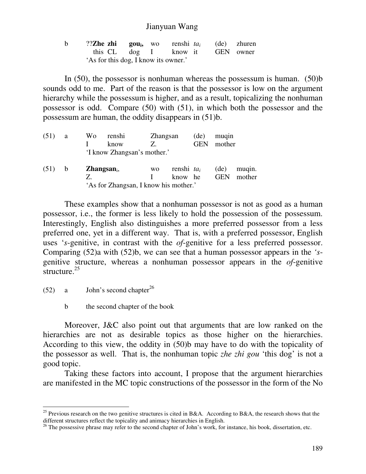| $\mathbf b$ | ?? <b>Zhe zhi gou</b> <sub>i</sub> , wo renshi $ta_i$ (de) zhuren |  |  |  |
|-------------|-------------------------------------------------------------------|--|--|--|
|             | this CL dog I know it GEN owner                                   |  |  |  |
|             | 'As for this dog, I know its owner.'                              |  |  |  |

In (50), the possessor is nonhuman whereas the possessum is human. (50)b sounds odd to me. Part of the reason is that the possessor is low on the argument hierarchy while the possessum is higher, and as a result, topicalizing the nonhuman possessor is odd. Compare (50) with (51), in which both the possessor and the possessum are human, the oddity disappears in (51)b.

| (51) | a | W <sub>0</sub> | <b>Zhangsan</b><br>(de)<br>renshi     |             | muqin         |            |            |        |
|------|---|----------------|---------------------------------------|-------------|---------------|------------|------------|--------|
|      |   |                | know                                  | $Z_{\rm L}$ |               | <b>GEN</b> | mother     |        |
|      |   |                | 'I know Zhangsan's mother.'           |             |               |            |            |        |
| (51) | b |                | $Z$ hangsan <sub>i</sub> ,            | <b>WO</b>   | renshi $ta_i$ |            | (de)       | mugin. |
|      |   |                |                                       |             | know          | he         | <b>GEN</b> | mother |
|      |   |                | 'As for Zhangsan, I know his mother.' |             |               |            |            |        |

These examples show that a nonhuman possessor is not as good as a human possessor, i.e., the former is less likely to hold the possession of the possessum. Interestingly, English also distinguishes a more preferred possessor from a less preferred one, yet in a different way. That is, with a preferred possessor, English uses '*s*-genitive, in contrast with the *of*-genitive for a less preferred possessor. Comparing (52)a with (52)b, we can see that a human possessor appears in the *'s*genitive structure, whereas a nonhuman possessor appears in the *of*-genitive structure.<sup>25</sup>

(52) a John's second chapter<sup>26</sup>

Moreover, J&C also point out that arguments that are low ranked on the hierarchies are not as desirable topics as those higher on the hierarchies. According to this view, the oddity in (50)b may have to do with the topicality of the possessor as well. That is, the nonhuman topic *zhe zhi gou* 'this dog' is not a good topic.

Taking these factors into account, I propose that the argument hierarchies are manifested in the MC topic constructions of the possessor in the form of the No

b the second chapter of the book

<sup>&</sup>lt;sup>25</sup> Previous research on the two genitive structures is cited in B&A. According to B&A, the research shows that the different structures reflect the topicality and animacy hierarchies in English.

<sup>&</sup>lt;sup>26</sup> The possessive phrase may refer to the second chapter of John's work, for instance, his book, dissertation, etc.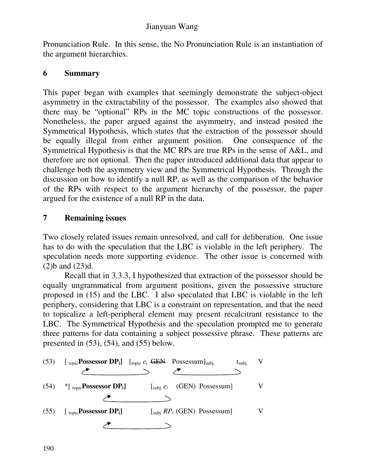Pronunciation Rule. In this sense, the No Pronunciation Rule is an instantiation of the argument hierarchies.

# **6 Summary**

This paper began with examples that seemingly demonstrate the subject-object asymmetry in the extractability of the possessor. The examples also showed that there may be "optional" RPs in the MC topic constructions of the possessor. Nonetheless, the paper argued against the asymmetry, and instead posited the Symmetrical Hypothesis, which states that the extraction of the possessor should be equally illegal from either argument position. One consequence of the Symmetrical Hypothesis is that the MC RPs are true RPs in the sense of A&L, and therefore are not optional. Then the paper introduced additional data that appear to challenge both the asymmetry view and the Symmetrical Hypothesis. Through the discussion on how to identify a null RP, as well as the comparison of the behavior of the RPs with respect to the argument hierarchy of the possessor, the paper argued for the existence of a null RP in the data.

# **7 Remaining issues**

Two closely related issues remain unresolved, and call for deliberation. One issue has to do with the speculation that the LBC is violable in the left periphery. The speculation needs more supporting evidence. The other issue is concerned with (2)b and (23)d.

Recall that in 3.3.3, I hypothesized that extraction of the possessor should be equally ungrammatical from argument positions, given the possessive structure proposed in (15) and the LBC. I also speculated that LBC is violable in the left periphery, considering that LBC is a constraint on representation, and that the need to topicalize a left-peripheral element may present recalcitrant resistance to the LBC. The Symmetrical Hypothesis and the speculation prompted me to generate three patterns for data containing a subject possessive phrase. These patterns are presented in (53), (54), and (55) below.

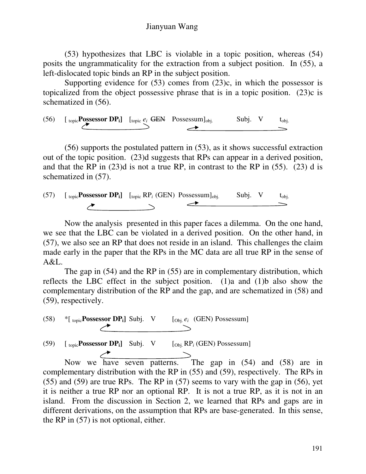(53) hypothesizes that LBC is violable in a topic position, whereas (54) posits the ungrammaticality for the extraction from a subject position. In (55), a left-dislocated topic binds an RP in the subject position.

Supporting evidence for  $(53)$  comes from  $(23)c$ , in which the possessor is topicalized from the object possessive phrase that is in a topic position. (23)c is schematized in (56).

(56) [ topic**Possessor DPi]** [topic *e<sup>i</sup>* GEN Possessum]obj. Subj. V tobj.  $\overline{\phantom{0}}$ 

(56) supports the postulated pattern in (53), as it shows successful extraction out of the topic position. (23)d suggests that RPs can appear in a derived position, and that the RP in  $(23)$ d is not a true RP, in contrast to the RP in  $(55)$ .  $(23)$  d is schematized in (57).

(57) 
$$
\left[\begin{array}{cc}\text{topic} \text{Possessor DP}_{i}\end{array}\right]
$$
  $\left[\begin{array}{cc}\text{topic RP}_{i} \text{ (GEN)} \text{Possessum}\right]_{obj.} \text{ Subj. V } t_{obj.} \end{array}$ 

Now the analysis presented in this paper faces a dilemma. On the one hand, we see that the LBC can be violated in a derived position. On the other hand, in (57), we also see an RP that does not reside in an island. This challenges the claim made early in the paper that the RPs in the MC data are all true RP in the sense of A&L.

The gap in (54) and the RP in (55) are in complementary distribution, which reflects the LBC effect in the subject position. (1)a and (1)b also show the complementary distribution of the RP and the gap, and are schematized in (58) and (59), respectively.

(58) \*[<sub>topic</sub>**Possessor DP**<sub>i</sub>] Subj. V [<sub>Obj</sub>
$$
e_i
$$
 (GEN) Possessum]

(59) [ topic**Possessor DPi]** Subj. V [Obj.RP*<sup>i</sup>* (GEN) Possessum]

Now we have seven patterns. The gap in  $(54)$  and  $(58)$  are in complementary distribution with the RP in (55) and (59), respectively. The RPs in (55) and (59) are true RPs. The RP in (57) seems to vary with the gap in (56), yet it is neither a true RP nor an optional RP. It is not a true RP, as it is not in an island. From the discussion in Section 2, we learned that RPs and gaps are in different derivations, on the assumption that RPs are base-generated. In this sense, the RP in (57) is not optional, either.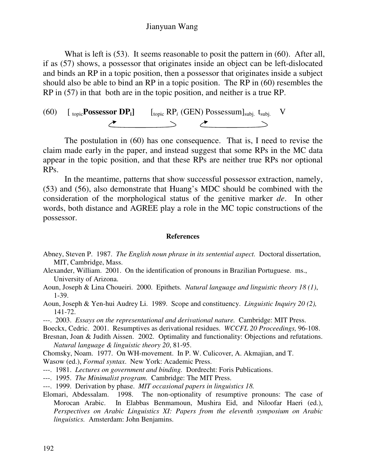What is left is (53). It seems reasonable to posit the pattern in (60). After all, if as (57) shows, a possessor that originates inside an object can be left-dislocated and binds an RP in a topic position, then a possessor that originates inside a subject should also be able to bind an RP in a topic position. The RP in (60) resembles the RP in (57) in that both are in the topic position, and neither is a true RP.



The postulation in (60) has one consequence. That is, I need to revise the claim made early in the paper, and instead suggest that some RPs in the MC data appear in the topic position, and that these RPs are neither true RPs nor optional RPs.

In the meantime, patterns that show successful possessor extraction, namely, (53) and (56), also demonstrate that Huang's MDC should be combined with the consideration of the morphological status of the genitive marker *de*. In other words, both distance and AGREE play a role in the MC topic constructions of the possessor.

#### **References**

- Abney, Steven P. 1987. *The English noun phrase in its sentential aspect.* Doctoral dissertation, MIT, Cambridge, Mass.
- Alexander, William. 2001. On the identification of pronouns in Brazilian Portuguese. ms., University of Arizona.
- Aoun, Joseph & Lina Choueiri. 2000. Epithets. *Natural language and linguistic theory 18 (1)*, 1-39.
- Aoun, Joseph & Yen-hui Audrey Li. 1989. Scope and constituency. *Linguistic Inquiry 20 (2),* 141-72.
- ---. 2003. *Essays on the representational and derivational nature.* Cambridge: MIT Press.
- Boeckx, Cedric. 2001. Resumptives as derivational residues. *WCCFL 20 Proceedings,* 96-108.

Bresnan, Joan & Judith Aissen. 2002. Optimality and functionality: Objections and refutations. *Natural language & linguistic theory 20*, 81-95.

Chomsky, Noam. 1977. On WH-movement. In P. W. Culicover, A. Akmajian, and T. Wasow (ed.), *Formal syntax*. New York: Academic Press.

- ---. 1981. *Lectures on government and binding.* Dordrecht: Foris Publications.
- ---. 1995. *The Minimalist program.* Cambridge: The MIT Press.

---. 1999. Derivation by phase. *MIT occasional papers in linguistics 18.*

Elomari, Abdessalam. 1998. The non-optionality of resumptive pronouns: The case of Morocan Arabic. In Elabbas Benmamoun, Mushira Eid, and Niloofar Haeri (ed.), *Perspectives on Arabic Linguistics XI: Papers from the eleventh symposium on Arabic linguistics.* Amsterdam: John Benjamins.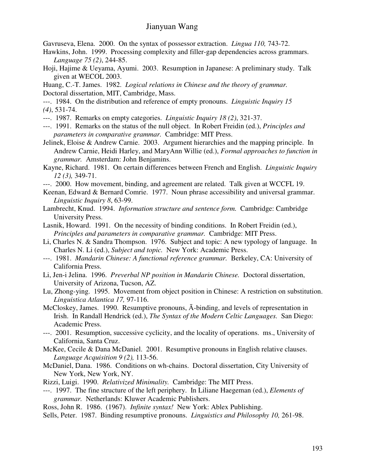Gavruseva, Elena. 2000. On the syntax of possessor extraction. *Lingua 110,* 743-72.

- Hawkins, John. 1999. Processing complexity and filler-gap dependencies across grammars. *Language 75 (2)*, 244-85.
- Hoji, Hajime & Ueyama, Ayumi. 2003. Resumption in Japanese: A preliminary study. Talk given at WECOL 2003.

Huang, C.-T. James. 1982. *Logical relations in Chinese and the theory of grammar.* Doctoral dissertation, MIT, Cambridge, Mass.

- ---. 1984. On the distribution and reference of empty pronouns. *Linguistic Inquiry 15 (4)*, 531-74.
- ---. 1987. Remarks on empty categories. *Linguistic Inquiry 18 (2)*, 321-37.
- ---. 1991. Remarks on the status of the null object. In Robert Freidin (ed.), *Principles and parameters in comparative grammar.* Cambridge: MIT Press.
- Jelinek, Eloise & Andrew Carnie. 2003. Argument hierarchies and the mapping principle. In Andrew Carnie, Heidi Harley, and MaryAnn Willie (ed.), *Formal approaches to function in grammar.* Amsterdam: John Benjamins.
- Kayne, Richard. 1981. On certain differences between French and English. *Linguistic Inquiry 12 (3),* 349-71.
- ---. 2000. How movement, binding, and agreement are related. Talk given at WCCFL 19.
- Keenan, Edward & Bernard Comrie. 1977. Noun phrase accessibility and universal grammar. *Linguistic Inquiry 8*, 63-99.

Lambrecht, Knud. 1994. *Information structure and sentence form.* Cambridge: Cambridge University Press.

- Lasnik, Howard. 1991. On the necessity of binding conditions. In Robert Freidin (ed.), *Principles and parameters in comparative grammar.* Cambridge: MIT Press.
- Li, Charles N. & Sandra Thompson. 1976. Subject and topic: A new typology of language. In Charles N. Li (ed.), *Subject and topic.* New York: Academic Press.
- ---. 1981. *Mandarin Chinese: A functional reference grammar.* Berkeley, CA: University of California Press.
- Li, Jen-i Jelina. 1996. *Preverbal NP position in Mandarin Chinese.* Doctoral dissertation, University of Arizona, Tucson, AZ.
- Lu, Zhong-ying. 1995. Movement from object position in Chinese: A restriction on substitution. *Linguistica Atlantica 17,* 97-116.
- McCloskey, James. 1990. Resumptive pronouns,  $\bar{A}$ -binding, and levels of representation in Irish. In Randall Hendrick (ed.), *The Syntax of the Modern Celtic Languages.* San Diego: Academic Press.
- ---. 2001. Resumption, successive cyclicity, and the locality of operations. ms., University of California, Santa Cruz.
- McKee, Cecile & Dana McDaniel. 2001. Resumptive pronouns in English relative clauses. *Language Acquisition 9 (2),* 113-56.
- McDaniel, Dana. 1986. Conditions on wh-chains. Doctoral dissertation, City University of New York, New York, NY.
- Rizzi, Luigi. 1990. *Relativized Minimality.* Cambridge: The MIT Press.
- ---. 1997. The fine structure of the left periphery. In Liliane Haegeman (ed.), *Elements of grammar.* Netherlands: Kluwer Academic Publishers.

Ross, John R. 1986. (1967). *Infinite syntax!* New York: Ablex Publishing.

Sells, Peter. 1987. Binding resumptive pronouns. *Linguistics and Philosophy 10,* 261-98.